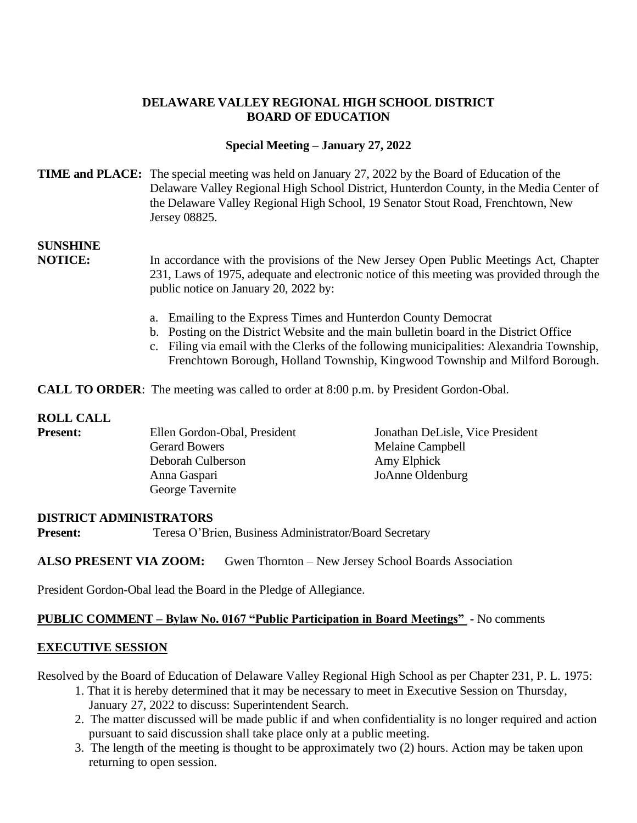## **DELAWARE VALLEY REGIONAL HIGH SCHOOL DISTRICT BOARD OF EDUCATION**

## **Special Meeting – January 27, 2022**

### **TIME and PLACE:** The special meeting was held on January 27, 2022 by the Board of Education of the Delaware Valley Regional High School District, Hunterdon County, in the Media Center of the Delaware Valley Regional High School, 19 Senator Stout Road, Frenchtown, New Jersey 08825.

# **SUNSHINE**

**NOTICE:** In accordance with the provisions of the New Jersey Open Public Meetings Act, Chapter 231, Laws of 1975, adequate and electronic notice of this meeting was provided through the public notice on January 20, 2022 by:

- a. Emailing to the Express Times and Hunterdon County Democrat
- b. Posting on the District Website and the main bulletin board in the District Office
- c. Filing via email with the Clerks of the following municipalities: Alexandria Township, Frenchtown Borough, Holland Township, Kingwood Township and Milford Borough.

**CALL TO ORDER**: The meeting was called to order at 8:00 p.m. by President Gordon-Obal.

## **ROLL CALL**

| <b>Present:</b> | Ellen Gordon-Obal, President | Jonathan DeLisle, Vice President |
|-----------------|------------------------------|----------------------------------|
|                 | <b>Gerard Bowers</b>         | Melaine Campbell                 |
|                 | Deborah Culberson            | Amy Elphick                      |
|                 | Anna Gaspari                 | JoAnne Oldenburg                 |
|                 | George Tavernite             |                                  |

#### **DISTRICT ADMINISTRATORS**

**Present:** Teresa O'Brien, Business Administrator/Board Secretary

#### **ALSO PRESENT VIA ZOOM:** Gwen Thornton – New Jersey School Boards Association

President Gordon-Obal lead the Board in the Pledge of Allegiance.

#### **PUBLIC COMMENT – Bylaw No. 0167 "Public Participation in Board Meetings" -** No comments

#### **EXECUTIVE SESSION**

Resolved by the Board of Education of Delaware Valley Regional High School as per Chapter 231, P. L. 1975:

- 1. That it is hereby determined that it may be necessary to meet in Executive Session on Thursday, January 27, 2022 to discuss: Superintendent Search.
- 2. The matter discussed will be made public if and when confidentiality is no longer required and action pursuant to said discussion shall take place only at a public meeting.
- 3. The length of the meeting is thought to be approximately two (2) hours. Action may be taken upon returning to open session.